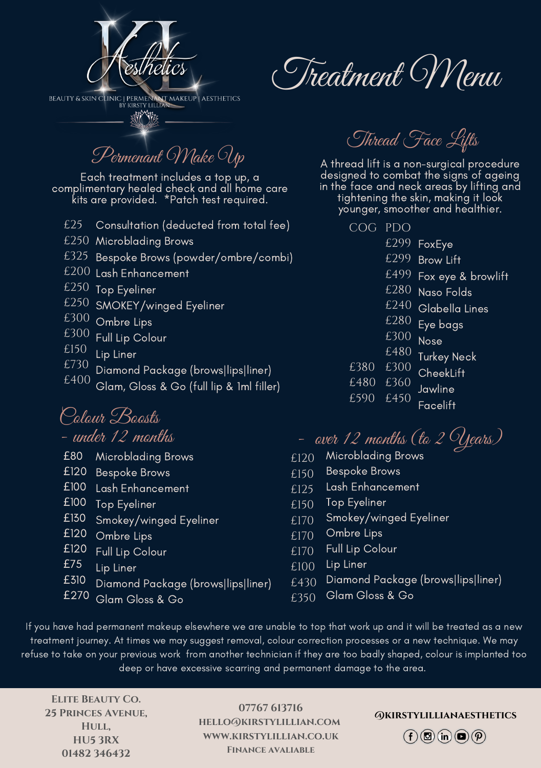

**BEAUTY & SKIN CLINIC | PERMENANT MAKEUP | AESTHETICS** 微僻

Permenant Make Up

Each treatment includes a top up, a complimentary healed check and all home care kits are provided. \*Patch test required.

- Consultation (deducted from total fee) £25
- $\pounds 250$  Microblading Brows
- Bespoke Brows (powder/ombre/combi) £325
- $\pounds 200$  Lash Enhancement
- $\ell$ 250 Top Eyeliner
- SMOKEY/winged Eyeliner £250
- $\textcolor{black}{\epsilon}$ 300 Ombre Lips
- Full Lip Colour £300
- Lip Liner £150
- Diamond Package (brows|lips|liner) £730
- Glam, Gloss & Go (full lip & 1ml filler) £400

Colour Boosts<br>- under 12 months

- Microblading Brows £80
- £120 Bespoke Brows
- £100 Lash Enhancement
- £100 Top Eyeliner
- Smokey/winged Eyeliner £130
- £120 Ombre Lips
- Full Lip Colour £120
- Lip Liner £75
- Diamond Package (brows|lips|liner) £310
- $E270$  Glam Gloss & Go

Thread Face Lifts

<sup>A</sup> thread lift is <sup>a</sup> non-surgical procedure designed to combat the signs of ageing in the face and neck areas by lifting and tightening the skin, making it look younger, smoother and healthier.

PDO COG

Treatment Menu

- £299 FoxEye
- Brow Lift £299
- Fox eye & browlift £499
- Naso Folds £280
- Glabella Lines £240
- Eye bags £280
- Nose £300
- Turkey Neck £480
- CheekLift £300 £380
- Jawline £360 £480
- **Facelift** £590 £450

- aver 12 months (to 2  $Q$ ears)

- Microblading Brows £120
- Bespoke Brows £150
- Lash Enhancement £125
- Top Eyeliner £150
- Smokey/winged Eyeliner £170
- Ombre Lips £170
- Full Lip Colour £170
- Lip Liner £100
- Diamond Package (brows|lips|liner) £430
- Glam Gloss & Go £350

If you have had permanent makeup elsewhere we are unable to top that work up and it will be treated as a new treatment journey. At times we may suggest removal, colour correction processes or a new technique. We may refuse to take on your previous work from another technician if they are too badly shaped, colour is implanted too deep or have excessive scarring and permanent damage to the area.

**Elite Beauty Co. 25 Princes Avenue, Hull, HU5 3RX 01482 346432**

**07767 613716 hello@kirstylillian.com www.kirstylillian.co.uk Finance avaliable**

**@kirstylillianaesthetics**